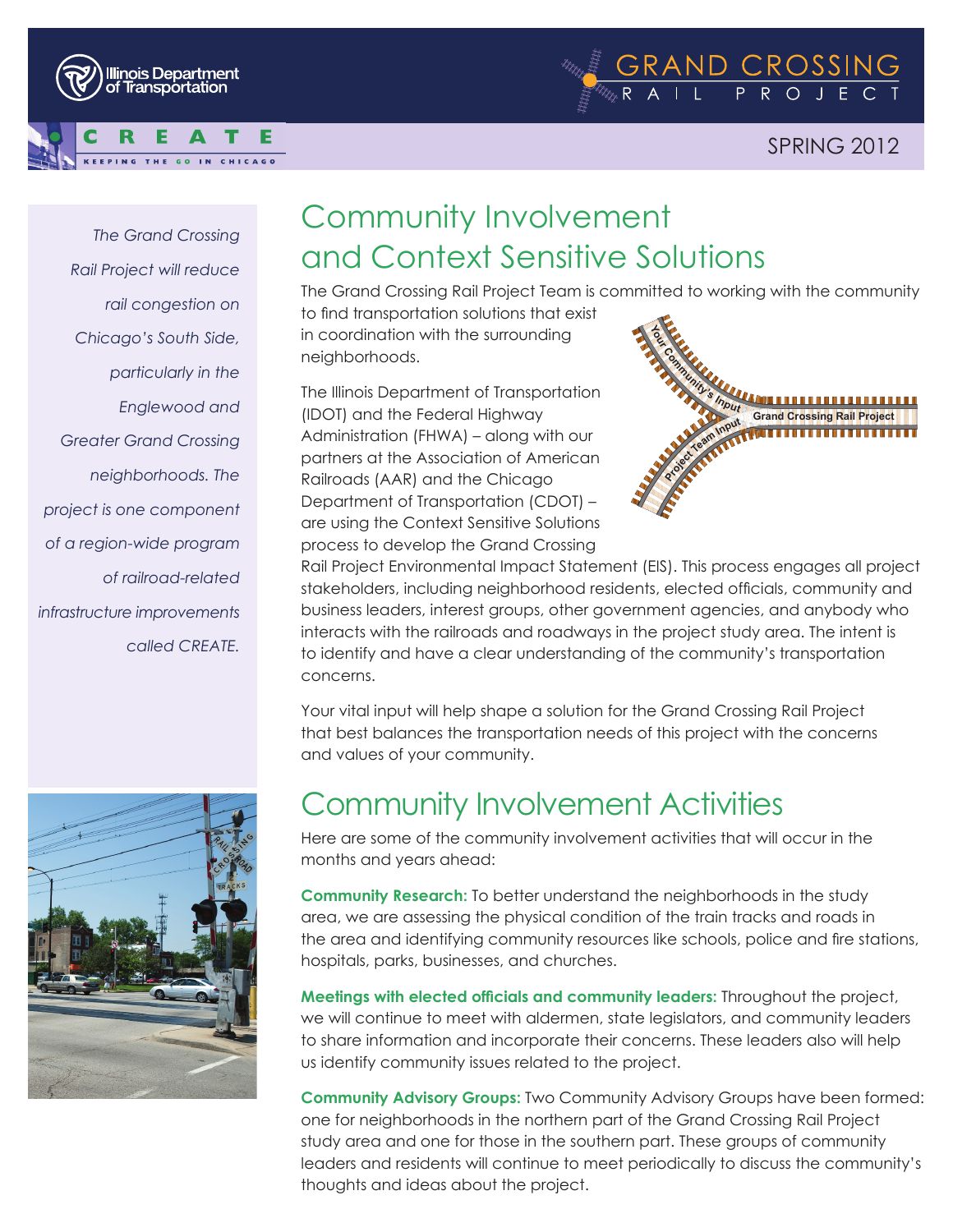



#### SPRING 2012

*The Grand Crossing Rail Project will reduce rail congestion on Chicago's South Side, particularly in the Englewood and Greater Grand Crossing neighborhoods. The project is one component of a region-wide program of railroad-related infrastructure improvements called CREATE.*



### Community Involvement and Context Sensitive Solutions

The Grand Crossing Rail Project Team is committed to working with the community to find transportation solutions that exist in coordination with the surrounding neighborhoods.

The Illinois Department of Transportation (IDOT) and the Federal Highway Administration (FHWA) – along with our partners at the Association of American Railroads (AAR) and the Chicago Department of Transportation (CDOT) – are using the Context Sensitive Solutions process to develop the Grand Crossing



Rail Project Environmental Impact Statement (EIS). This process engages all project stakeholders, including neighborhood residents, elected officials, community and business leaders, interest groups, other government agencies, and anybody who interacts with the railroads and roadways in the project study area. The intent is to identify and have a clear understanding of the community's transportation concerns.

Your vital input will help shape a solution for the Grand Crossing Rail Project that best balances the transportation needs of this project with the concerns and values of your community.

#### Community Involvement Activities

Here are some of the community involvement activities that will occur in the months and years ahead:

**Community Research:** To better understand the neighborhoods in the study area, we are assessing the physical condition of the train tracks and roads in the area and identifying community resources like schools, police and fire stations, hospitals, parks, businesses, and churches.

**Meetings with elected officials and community leaders:** Throughout the project, we will continue to meet with aldermen, state legislators, and community leaders to share information and incorporate their concerns. These leaders also will help us identify community issues related to the project.

**Community Advisory Groups:** Two Community Advisory Groups have been formed: one for neighborhoods in the northern part of the Grand Crossing Rail Project study area and one for those in the southern part. These groups of community leaders and residents will continue to meet periodically to discuss the community's thoughts and ideas about the project.